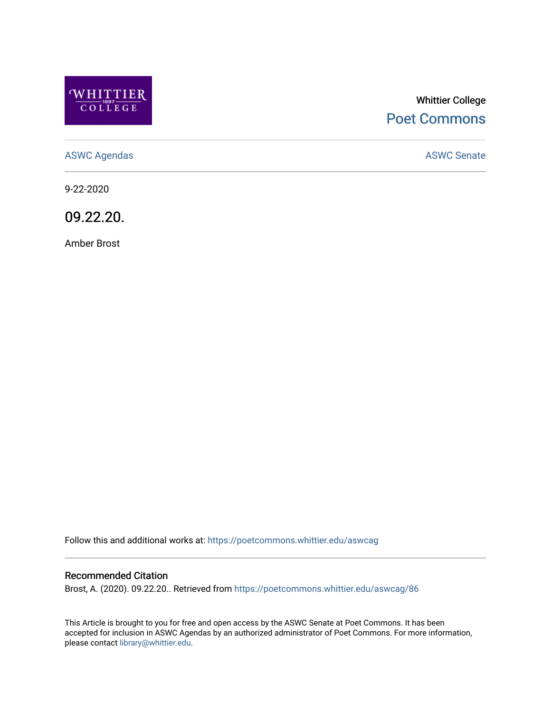

# Whittier College [Poet Commons](https://poetcommons.whittier.edu/)

[ASWC Agendas](https://poetcommons.whittier.edu/aswcag) **ASWC Senate** 

9-22-2020

09.22.20.

Amber Brost

Follow this and additional works at: [https://poetcommons.whittier.edu/aswcag](https://poetcommons.whittier.edu/aswcag?utm_source=poetcommons.whittier.edu%2Faswcag%2F86&utm_medium=PDF&utm_campaign=PDFCoverPages) 

# Recommended Citation

Brost, A. (2020). 09.22.20.. Retrieved from [https://poetcommons.whittier.edu/aswcag/86](https://poetcommons.whittier.edu/aswcag/86?utm_source=poetcommons.whittier.edu%2Faswcag%2F86&utm_medium=PDF&utm_campaign=PDFCoverPages) 

This Article is brought to you for free and open access by the ASWC Senate at Poet Commons. It has been accepted for inclusion in ASWC Agendas by an authorized administrator of Poet Commons. For more information, please contact [library@whittier.edu](mailto:library@whittier.edu).